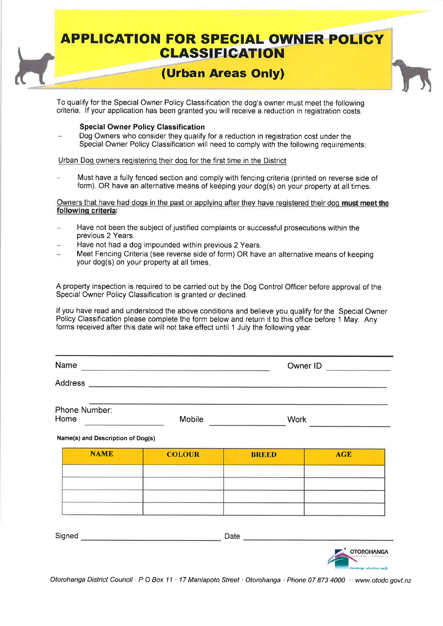## **APPLICATION FOR SPECIAL OWNER POLICY CLASSIFICATION**

### **(Urban Areas Only)**

To qualify for the Special Owner Policy Classification the dog's owner must meet the following criteria. If your application has been granted you will receive a reduction in registration costs.

#### **Special Owner Policy Classification**

Dog Owners who consider they qualify for a reduction in registration cost under the Special Owner Policy Classification will need to comply with the following requirements

Urban Dog owners registering their dog for the first time in the District

Must have a fully fenced section and comply with fencing criteria (printed on reverse side of form). OR have an alternative means of keeping your dog(s) on your property at all times.

Owners that have had dogs in the past or applying after they have registered their dog **must meet the following criteria:** 

- **Have not been** the subject of justified complaints or successful prosecutions within the previous 2 Years.
- Have not had a dog impounded within previous 2 Years.
- Meet Fencing Criteria (see reverse side of form) OR have an alternative means of keeping your dog(s) on your property at all times

A property inspection is required to be carried out by the Dog Control Officer before approval of the Special Owner Policy Classification is granted or declined.

If you have read and understood the above conditions and believe you qualify for the Special Owner Policy Classification please complete the form below and return it to this office before 1 May. Any forms received after this date will not take effect until 1 July the following year.

| Name                  |        | Owner ID    |  |
|-----------------------|--------|-------------|--|
| <b>Address</b>        |        |             |  |
| Phone Number:<br>Home | Mobile | <b>Work</b> |  |

#### **Name(s) and Description of Dog(s)**

| Signed | Date |            |
|--------|------|------------|
|        |      | OTOROHANGA |

Otorohanga District Council · P O Box 11 · 17 Maniapoto Street · Otorohanga · Phone 07 873 4000 · www.otodc.govt.nz

.<br>orohanga - where kiwis can fly